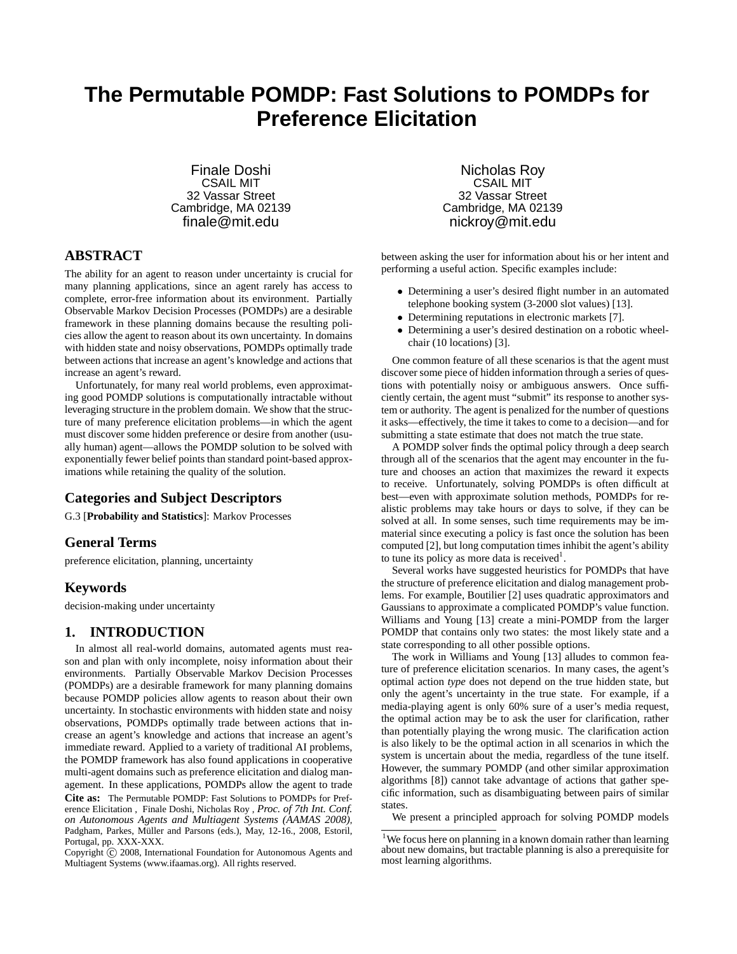# **The Permutable POMDP: Fast Solutions to POMDPs for Preference Elicitation**

Finale Doshi CSAIL MIT 32 Vassar Street Cambridge, MA 02139 finale@mit.edu

**ABSTRACT**

The ability for an agent to reason under uncertainty is crucial for many planning applications, since an agent rarely has access to complete, error-free information about its environment. Partially Observable Markov Decision Processes (POMDPs) are a desirable framework in these planning domains because the resulting policies allow the agent to reason about its own uncertainty. In domains with hidden state and noisy observations, POMDPs optimally trade between actions that increase an agent's knowledge and actions that increase an agent's reward.

Unfortunately, for many real world problems, even approximating good POMDP solutions is computationally intractable without leveraging structure in the problem domain. We show that the structure of many preference elicitation problems—in which the agent must discover some hidden preference or desire from another (usually human) agent—allows the POMDP solution to be solved with exponentially fewer belief points than standard point-based approximations while retaining the quality of the solution.

# **Categories and Subject Descriptors**

G.3 [**Probability and Statistics**]: Markov Processes

# **General Terms**

preference elicitation, planning, uncertainty

## **Keywords**

decision-making under uncertainty

# **1. INTRODUCTION**

In almost all real-world domains, automated agents must reason and plan with only incomplete, noisy information about their environments. Partially Observable Markov Decision Processes (POMDPs) are a desirable framework for many planning domains because POMDP policies allow agents to reason about their own uncertainty. In stochastic environments with hidden state and noisy observations, POMDPs optimally trade between actions that increase an agent's knowledge and actions that increase an agent's immediate reward. Applied to a variety of traditional AI problems, the POMDP framework has also found applications in cooperative multi-agent domains such as preference elicitation and dialog management. In these applications, POMDPs allow the agent to trade

**Cite as:** The Permutable POMDP: Fast Solutions to POMDPs for Preference Elicitation , Finale Doshi, Nicholas Roy , *Proc. of 7th Int. Conf. on Autonomous Agents and Multiagent Systems (AAMAS 2008)*, Padgham, Parkes, Müller and Parsons (eds.), May, 12-16., 2008, Estoril, Portugal, pp. XXX-XXX.

Copyright (c) 2008, International Foundation for Autonomous Agents and Multiagent Systems (www.ifaamas.org). All rights reserved.

Nicholas Roy CSAIL MIT 32 Vassar Street Cambridge, MA 02139 nickroy@mit.edu

between asking the user for information about his or her intent and performing a useful action. Specific examples include:

- Determining a user's desired flight number in an automated telephone booking system (3-2000 slot values) [13].
- Determining reputations in electronic markets [7].
- Determining a user's desired destination on a robotic wheelchair (10 locations) [3].

One common feature of all these scenarios is that the agent must discover some piece of hidden information through a series of questions with potentially noisy or ambiguous answers. Once sufficiently certain, the agent must "submit" its response to another system or authority. The agent is penalized for the number of questions it asks—effectively, the time it takes to come to a decision—and for submitting a state estimate that does not match the true state.

A POMDP solver finds the optimal policy through a deep search through all of the scenarios that the agent may encounter in the future and chooses an action that maximizes the reward it expects to receive. Unfortunately, solving POMDPs is often difficult at best—even with approximate solution methods, POMDPs for realistic problems may take hours or days to solve, if they can be solved at all. In some senses, such time requirements may be immaterial since executing a policy is fast once the solution has been computed [2], but long computation times inhibit the agent's ability to tune its policy as more data is received<sup>1</sup>.

Several works have suggested heuristics for POMDPs that have the structure of preference elicitation and dialog management problems. For example, Boutilier [2] uses quadratic approximators and Gaussians to approximate a complicated POMDP's value function. Williams and Young [13] create a mini-POMDP from the larger POMDP that contains only two states: the most likely state and a state corresponding to all other possible options.

The work in Williams and Young [13] alludes to common feature of preference elicitation scenarios. In many cases, the agent's optimal action *type* does not depend on the true hidden state, but only the agent's uncertainty in the true state. For example, if a media-playing agent is only 60% sure of a user's media request, the optimal action may be to ask the user for clarification, rather than potentially playing the wrong music. The clarification action is also likely to be the optimal action in all scenarios in which the system is uncertain about the media, regardless of the tune itself. However, the summary POMDP (and other similar approximation algorithms [8]) cannot take advantage of actions that gather specific information, such as disambiguating between pairs of similar states.

We present a principled approach for solving POMDP models

<sup>&</sup>lt;sup>1</sup>We focus here on planning in a known domain rather than learning about new domains, but tractable planning is also a prerequisite for most learning algorithms.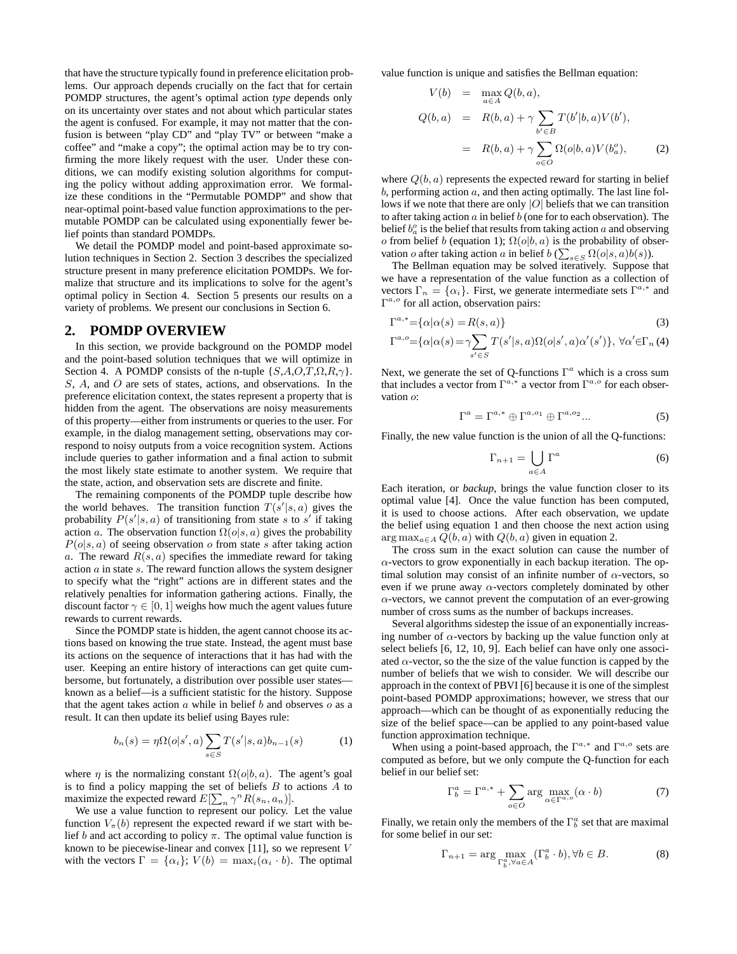that have the structure typically found in preference elicitation problems. Our approach depends crucially on the fact that for certain POMDP structures, the agent's optimal action *type* depends only on its uncertainty over states and not about which particular states the agent is confused. For example, it may not matter that the confusion is between "play CD" and "play TV" or between "make a coffee" and "make a copy"; the optimal action may be to try confirming the more likely request with the user. Under these conditions, we can modify existing solution algorithms for computing the policy without adding approximation error. We formalize these conditions in the "Permutable POMDP" and show that near-optimal point-based value function approximations to the permutable POMDP can be calculated using exponentially fewer belief points than standard POMDPs.

We detail the POMDP model and point-based approximate solution techniques in Section 2. Section 3 describes the specialized structure present in many preference elicitation POMDPs. We formalize that structure and its implications to solve for the agent's optimal policy in Section 4. Section 5 presents our results on a variety of problems. We present our conclusions in Section 6.

### **2. POMDP OVERVIEW**

In this section, we provide background on the POMDP model and the point-based solution techniques that we will optimize in Section 4. A POMDP consists of the n-tuple  $\{S, A, O, T, \Omega, R, \gamma\}.$ S, A, and O are sets of states, actions, and observations. In the preference elicitation context, the states represent a property that is hidden from the agent. The observations are noisy measurements of this property—either from instruments or queries to the user. For example, in the dialog management setting, observations may correspond to noisy outputs from a voice recognition system. Actions include queries to gather information and a final action to submit the most likely state estimate to another system. We require that the state, action, and observation sets are discrete and finite.

The remaining components of the POMDP tuple describe how the world behaves. The transition function  $T(s'|s, a)$  gives the probability  $P(s'|s, a)$  of transitioning from state s to s' if taking action a. The observation function  $\Omega(o|s, a)$  gives the probability  $P(o|s, a)$  of seeing observation o from state s after taking action a. The reward  $R(s, a)$  specifies the immediate reward for taking action a in state s. The reward function allows the system designer to specify what the "right" actions are in different states and the relatively penalties for information gathering actions. Finally, the discount factor  $\gamma \in [0, 1]$  weighs how much the agent values future rewards to current rewards.

Since the POMDP state is hidden, the agent cannot choose its actions based on knowing the true state. Instead, the agent must base its actions on the sequence of interactions that it has had with the user. Keeping an entire history of interactions can get quite cumbersome, but fortunately, a distribution over possible user states known as a belief—is a sufficient statistic for the history. Suppose that the agent takes action  $\alpha$  while in belief  $\beta$  and observes  $\alpha$  as a result. It can then update its belief using Bayes rule:

$$
b_n(s) = \eta \Omega(o|s',a) \sum_{s \in S} T(s'|s,a) b_{n-1}(s)
$$
 (1)

where  $\eta$  is the normalizing constant  $\Omega(o|b, a)$ . The agent's goal is to find a policy mapping the set of beliefs  $B$  to actions  $A$  to maximize the expected reward  $E[\sum_{n} \gamma^{n} R(s_n, a_n)].$ 

We use a value function to represent our policy. Let the value function  $V_\pi(b)$  represent the expected reward if we start with belief b and act according to policy  $\pi$ . The optimal value function is known to be piecewise-linear and convex  $[11]$ , so we represent  $V$ with the vectors  $\Gamma = {\alpha_i}$ ;  $V(b) = \max_i(\alpha_i \cdot b)$ . The optimal value function is unique and satisfies the Bellman equation:

$$
V(b) = \max_{a \in A} Q(b, a),
$$
  
\n
$$
Q(b, a) = R(b, a) + \gamma \sum_{b' \in B} T(b'|b, a) V(b'),
$$
  
\n
$$
= R(b, a) + \gamma \sum_{o \in O} \Omega(o|b, a) V(bao),
$$
\n(2)

where  $Q(b, a)$  represents the expected reward for starting in belief  $b$ , performing action  $a$ , and then acting optimally. The last line follows if we note that there are only  $|O|$  beliefs that we can transition to after taking action  $\alpha$  in belief  $\delta$  (one for to each observation). The belief  $b_a^o$  is the belief that results from taking action  $a$  and observing o from belief b (equation 1);  $\Omega(o|b, a)$  is the probability of observation *o* after taking action *a* in belief  $b \left( \sum_{s \in S} \Omega(o|s, a) b(s) \right)$ .

The Bellman equation may be solved iteratively. Suppose that we have a representation of the value function as a collection of vectors  $\Gamma_n = {\alpha_i}$ . First, we generate intermediate sets  $\Gamma^{a,*}$  and  $\Gamma^{a,o}$  for all action, observation pairs:

$$
\Gamma^{a,*} = {\alpha | \alpha(s) = R(s,a) }
$$
\n(3)

$$
\Gamma^{a,o} = \{ \alpha | \alpha(s) = \gamma \sum_{s' \in S} T(s'|s,a) \Omega(o|s',a) \alpha'(s') \}, \ \forall \alpha' \in \Gamma_n \ (4)
$$

Next, we generate the set of Q-functions  $\Gamma^a$  which is a cross sum that includes a vector from  $\Gamma^{a,*}$  a vector from  $\Gamma^{a,o}$  for each observation o:

$$
\Gamma^a = \Gamma^{a,*} \oplus \Gamma^{a,o_1} \oplus \Gamma^{a,o_2} \dots \tag{5}
$$

Finally, the new value function is the union of all the Q-functions:

$$
\Gamma_{n+1} = \bigcup_{a \in A} \Gamma^a \tag{6}
$$

Each iteration, or *backup*, brings the value function closer to its optimal value [4]. Once the value function has been computed, it is used to choose actions. After each observation, we update the belief using equation 1 and then choose the next action using  $\arg \max_{a \in A} Q(b, a)$  with  $Q(b, a)$  given in equation 2.

The cross sum in the exact solution can cause the number of  $\alpha$ -vectors to grow exponentially in each backup iteration. The optimal solution may consist of an infinite number of  $\alpha$ -vectors, so even if we prune away  $\alpha$ -vectors completely dominated by other  $\alpha$ -vectors, we cannot prevent the computation of an ever-growing number of cross sums as the number of backups increases.

Several algorithms sidestep the issue of an exponentially increasing number of  $\alpha$ -vectors by backing up the value function only at select beliefs [6, 12, 10, 9]. Each belief can have only one associated  $\alpha$ -vector, so the the size of the value function is capped by the number of beliefs that we wish to consider. We will describe our approach in the context of PBVI [6] because it is one of the simplest point-based POMDP approximations; however, we stress that our approach—which can be thought of as exponentially reducing the size of the belief space—can be applied to any point-based value function approximation technique.

When using a point-based approach, the  $\Gamma^{a,*}$  and  $\Gamma^{a,o}$  sets are computed as before, but we only compute the Q-function for each belief in our belief set:

$$
\Gamma_b^a = \Gamma^{a,*} + \sum_{o \in O} \arg \max_{\alpha \in \Gamma^{a,o}} (\alpha \cdot b)
$$
 (7)

Finally, we retain only the members of the  $\Gamma_b^a$  set that are maximal for some belief in our set:

$$
\Gamma_{n+1} = \arg \max_{\Gamma_b^a, \forall a \in A} (\Gamma_b^a \cdot b), \forall b \in B.
$$
 (8)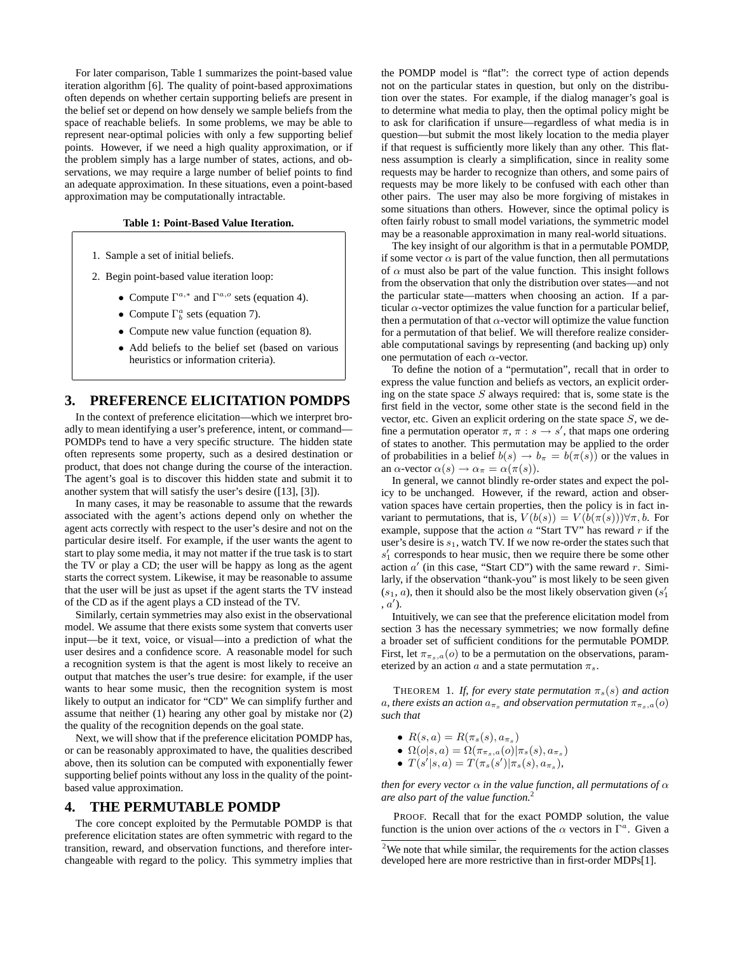For later comparison, Table 1 summarizes the point-based value iteration algorithm [6]. The quality of point-based approximations often depends on whether certain supporting beliefs are present in the belief set or depend on how densely we sample beliefs from the space of reachable beliefs. In some problems, we may be able to represent near-optimal policies with only a few supporting belief points. However, if we need a high quality approximation, or if the problem simply has a large number of states, actions, and observations, we may require a large number of belief points to find an adequate approximation. In these situations, even a point-based approximation may be computationally intractable.

#### **Table 1: Point-Based Value Iteration.**

- 1. Sample a set of initial beliefs.
- 2. Begin point-based value iteration loop:
	- Compute  $\Gamma^{a,*}$  and  $\Gamma^{a,o}$  sets (equation 4).
	- Compute  $\Gamma_b^a$  sets (equation 7).
	- Compute new value function (equation 8).
	- Add beliefs to the belief set (based on various heuristics or information criteria).

# **3. PREFERENCE ELICITATION POMDPS**

In the context of preference elicitation—which we interpret broadly to mean identifying a user's preference, intent, or command— POMDPs tend to have a very specific structure. The hidden state often represents some property, such as a desired destination or product, that does not change during the course of the interaction. The agent's goal is to discover this hidden state and submit it to another system that will satisfy the user's desire ([13], [3]).

In many cases, it may be reasonable to assume that the rewards associated with the agent's actions depend only on whether the agent acts correctly with respect to the user's desire and not on the particular desire itself. For example, if the user wants the agent to start to play some media, it may not matter if the true task is to start the TV or play a CD; the user will be happy as long as the agent starts the correct system. Likewise, it may be reasonable to assume that the user will be just as upset if the agent starts the TV instead of the CD as if the agent plays a CD instead of the TV.

Similarly, certain symmetries may also exist in the observational model. We assume that there exists some system that converts user input—be it text, voice, or visual—into a prediction of what the user desires and a confidence score. A reasonable model for such a recognition system is that the agent is most likely to receive an output that matches the user's true desire: for example, if the user wants to hear some music, then the recognition system is most likely to output an indicator for "CD" We can simplify further and assume that neither (1) hearing any other goal by mistake nor (2) the quality of the recognition depends on the goal state.

Next, we will show that if the preference elicitation POMDP has, or can be reasonably approximated to have, the qualities described above, then its solution can be computed with exponentially fewer supporting belief points without any loss in the quality of the pointbased value approximation.

## **4. THE PERMUTABLE POMDP**

The core concept exploited by the Permutable POMDP is that preference elicitation states are often symmetric with regard to the transition, reward, and observation functions, and therefore interchangeable with regard to the policy. This symmetry implies that the POMDP model is "flat": the correct type of action depends not on the particular states in question, but only on the distribution over the states. For example, if the dialog manager's goal is to determine what media to play, then the optimal policy might be to ask for clarification if unsure—regardless of what media is in question—but submit the most likely location to the media player if that request is sufficiently more likely than any other. This flatness assumption is clearly a simplification, since in reality some requests may be harder to recognize than others, and some pairs of requests may be more likely to be confused with each other than other pairs. The user may also be more forgiving of mistakes in some situations than others. However, since the optimal policy is often fairly robust to small model variations, the symmetric model may be a reasonable approximation in many real-world situations.

The key insight of our algorithm is that in a permutable POMDP, if some vector  $\alpha$  is part of the value function, then all permutations of  $\alpha$  must also be part of the value function. This insight follows from the observation that only the distribution over states—and not the particular state—matters when choosing an action. If a particular  $\alpha$ -vector optimizes the value function for a particular belief, then a permutation of that  $\alpha$ -vector will optimize the value function for a permutation of that belief. We will therefore realize considerable computational savings by representing (and backing up) only one permutation of each  $\alpha$ -vector.

To define the notion of a "permutation", recall that in order to express the value function and beliefs as vectors, an explicit ordering on the state space  $S$  always required: that is, some state is the first field in the vector, some other state is the second field in the vector, etc. Given an explicit ordering on the state space  $S$ , we define a permutation operator  $\pi$ ,  $\pi$  :  $s \rightarrow s'$ , that maps one ordering of states to another. This permutation may be applied to the order of probabilities in a belief  $b(s) \to b_\pi = b(\pi(s))$  or the values in an  $\alpha$ -vector  $\alpha(s) \to \alpha_{\pi} = \alpha(\pi(s))$ .

In general, we cannot blindly re-order states and expect the policy to be unchanged. However, if the reward, action and observation spaces have certain properties, then the policy is in fact invariant to permutations, that is,  $V(b(s)) = V(b(\pi(s)))\forall \pi, b$ . For example, suppose that the action  $a$  "Start TV" has reward  $r$  if the user's desire is  $s_1$ , watch TV. If we now re-order the states such that s ′ <sup>1</sup> corresponds to hear music, then we require there be some other action  $a'$  (in this case, "Start CD") with the same reward r. Similarly, if the observation "thank-you" is most likely to be seen given  $(s_1, a)$ , then it should also be the most likely observation given  $(s_1)$  $(a')$ .

Intuitively, we can see that the preference elicitation model from section 3 has the necessary symmetries; we now formally define a broader set of sufficient conditions for the permutable POMDP. First, let  $\pi_{\pi_s,a}(o)$  to be a permutation on the observations, parameterized by an action  $a$  and a state permutation  $\pi_s$ .

THEOREM 1. *If, for every state permutation*  $\pi_s(s)$  *and action* a, there exists an action  $a_{\pi_s}$  and observation permutation  $\pi_{\pi_s,a}(o)$ *such that*

- $R(s, a) = R(\pi_s(s), a_{\pi_s})$
- $\Omega(o|s, a) = \Omega(\pi_{\pi_s,a}(o)|\pi_s(s), a_{\pi_s})$
- $T(s'|s, a) = T(\pi_s(s')|\pi_s(s), a_{\pi_s}),$

*then for every vector*  $\alpha$  *in the value function, all permutations of*  $\alpha$ *are also part of the value function.*<sup>2</sup>

PROOF. Recall that for the exact POMDP solution, the value function is the union over actions of the  $\alpha$  vectors in  $\Gamma^a$ . Given a

 $2$ We note that while similar, the requirements for the action classes developed here are more restrictive than in first-order MDPs[1].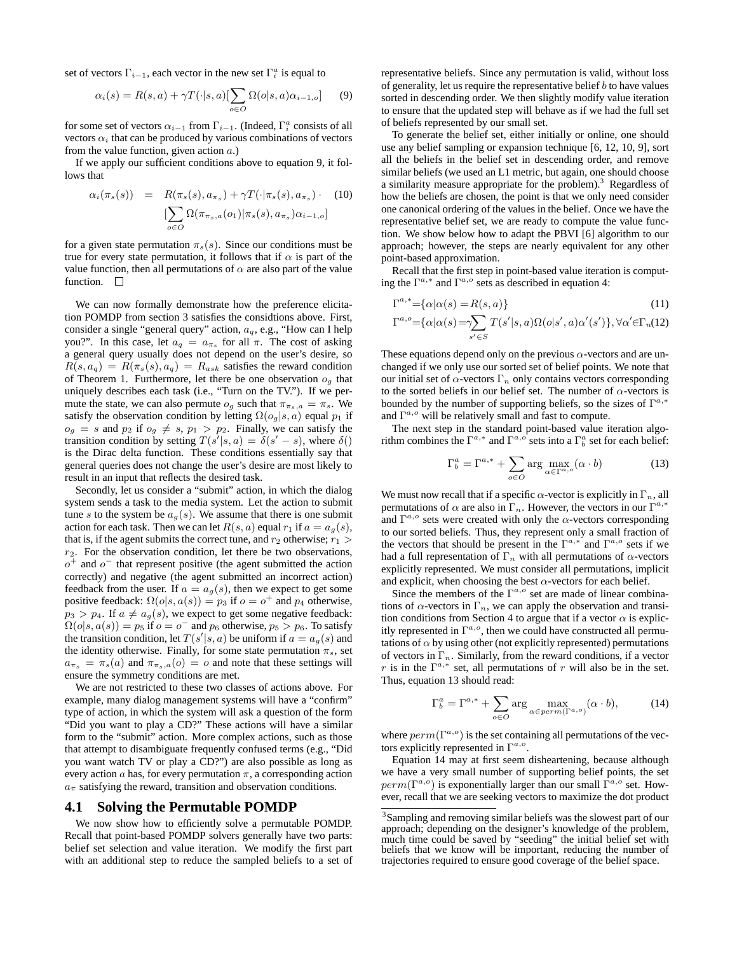set of vectors  $\Gamma_{i-1}$ , each vector in the new set  $\Gamma_i^a$  is equal to

$$
\alpha_i(s) = R(s, a) + \gamma T(\cdot | s, a) [\sum_{o \in O} \Omega(o|s, a) \alpha_{i-1, o}] \tag{9}
$$

for some set of vectors  $\alpha_{i-1}$  from  $\Gamma_{i-1}$ . (Indeed,  $\Gamma_i^a$  consists of all vectors  $\alpha_i$  that can be produced by various combinations of vectors from the value function, given action  $a$ .)

If we apply our sufficient conditions above to equation 9, it follows that

$$
\alpha_i(\pi_s(s)) = R(\pi_s(s), a_{\pi_s}) + \gamma T(\cdot | \pi_s(s), a_{\pi_s}) \cdot (10)
$$

$$
[\sum_{o \in O} \Omega(\pi_{\pi_s, a}(o_1) | \pi_s(s), a_{\pi_s}) \alpha_{i-1, o}]
$$

for a given state permutation  $\pi_s(s)$ . Since our conditions must be true for every state permutation, it follows that if  $\alpha$  is part of the value function, then all permutations of  $\alpha$  are also part of the value function.  $\Box$ 

We can now formally demonstrate how the preference elicitation POMDP from section 3 satisfies the considtions above. First, consider a single "general query" action,  $a_q$ , e.g., "How can I help you?". In this case, let  $a_q = a_{\pi_s}$  for all  $\pi$ . The cost of asking a general query usually does not depend on the user's desire, so  $R(s, a_q) = R(\pi_s(s), a_q) = R_{ask}$  satisfies the reward condition of Theorem 1. Furthermore, let there be one observation  $o_q$  that uniquely describes each task (i.e., "Turn on the TV."). If we permute the state, we can also permute  $o_g$  such that  $\pi_{\pi_s,a} = \pi_s$ . We satisfy the observation condition by letting  $\Omega(o_g|s, a)$  equal  $p_1$  if  $o_q = s$  and  $p_2$  if  $o_q \neq s$ ,  $p_1 > p_2$ . Finally, we can satisfy the transition condition by setting  $T(s^{\prime}|s, a) = \delta(s^{\prime} - s)$ , where  $\delta()$ is the Dirac delta function. These conditions essentially say that general queries does not change the user's desire are most likely to result in an input that reflects the desired task.

Secondly, let us consider a "submit" action, in which the dialog system sends a task to the media system. Let the action to submit tune s to the system be  $a<sub>q</sub>(s)$ . We assume that there is one submit action for each task. Then we can let  $R(s, a)$  equal  $r_1$  if  $a = a_q(s)$ , that is, if the agent submits the correct tune, and  $r_2$  otherwise;  $r_1$  >  $r<sub>2</sub>$ . For the observation condition, let there be two observations,  $o<sup>+</sup>$  and  $o<sup>-</sup>$  that represent positive (the agent submitted the action correctly) and negative (the agent submitted an incorrect action) feedback from the user. If  $a = a_g(s)$ , then we expect to get some positive feedback:  $\Omega(o|s, a(s)) = p_3$  if  $o = o^+$  and  $p_4$  otherwise,  $p_3 > p_4$ . If  $a \neq a_q(s)$ , we expect to get some negative feedback:  $\Omega(o|s, a(s)) = p_5$  if  $o = o^-$  and  $p_6$  otherwise,  $p_5 > p_6$ . To satisfy the transition condition, let  $T(s'|s, a)$  be uniform if  $a = a_g(s)$  and the identity otherwise. Finally, for some state permutation  $\pi_s$ , set  $a_{\pi_s} = \pi_s(a)$  and  $\pi_{\pi_s,a}(o) = o$  and note that these settings will ensure the symmetry conditions are met.

We are not restricted to these two classes of actions above. For example, many dialog management systems will have a "confirm" type of action, in which the system will ask a question of the form "Did you want to play a CD?" These actions will have a similar form to the "submit" action. More complex actions, such as those that attempt to disambiguate frequently confused terms (e.g., "Did you want watch TV or play a CD?") are also possible as long as every action  $\alpha$  has, for every permutation  $\pi$ , a corresponding action  $a<sub>\pi</sub>$  satisfying the reward, transition and observation conditions.

### **4.1 Solving the Permutable POMDP**

We now show how to efficiently solve a permutable POMDP. Recall that point-based POMDP solvers generally have two parts: belief set selection and value iteration. We modify the first part with an additional step to reduce the sampled beliefs to a set of representative beliefs. Since any permutation is valid, without loss of generality, let us require the representative belief  $b$  to have values sorted in descending order. We then slightly modify value iteration to ensure that the updated step will behave as if we had the full set of beliefs represented by our small set.

To generate the belief set, either initially or online, one should use any belief sampling or expansion technique [6, 12, 10, 9], sort all the beliefs in the belief set in descending order, and remove similar beliefs (we used an L1 metric, but again, one should choose a similarity measure appropriate for the problem).<sup>3</sup> Regardless of how the beliefs are chosen, the point is that we only need consider one canonical ordering of the values in the belief. Once we have the representative belief set, we are ready to compute the value function. We show below how to adapt the PBVI [6] algorithm to our approach; however, the steps are nearly equivalent for any other point-based approximation.

Recall that the first step in point-based value iteration is computing the  $\Gamma^{a,*}$  and  $\Gamma^{a,o}$  sets as described in equation 4:

$$
\Gamma^{a,*} = {\alpha | \alpha(s) = R(s, a)}
$$
\n
$$
\Gamma^{a,o} = {\alpha | \alpha(s) = \gamma \sum T(s'|s, a) \Omega(o|s', a) \alpha'(s')}, \forall \alpha' \in \Gamma_n(12)
$$
\n(11)

These equations depend only on the previous  $\alpha$ -vectors and are unchanged if we only use our sorted set of belief points. We note that our initial set of  $\alpha$ -vectors  $\Gamma_n$  only contains vectors corresponding to the sorted beliefs in our belief set. The number of  $\alpha$ -vectors is bounded by the number of supporting beliefs, so the sizes of  $\Gamma^{a,*}$ and  $\Gamma^{a,o}$  will be relatively small and fast to compute.

s′∈S

The next step in the standard point-based value iteration algorithm combines the  $\Gamma^{a,*}$  and  $\Gamma^{a,\circ}$  sets into a  $\Gamma_b^a$  set for each belief:

$$
\Gamma_b^a = \Gamma^{a,*} + \sum_{o \in O} \arg \max_{\alpha \in \Gamma^{a,o}} (\alpha \cdot b)
$$
 (13)

We must now recall that if a specific  $\alpha$ -vector is explicitly in  $\Gamma_n$ , all permutations of  $\alpha$  are also in  $\Gamma_n$ . However, the vectors in our  $\Gamma^{a,*}$ and  $\Gamma^{a,o}$  sets were created with only the  $\alpha$ -vectors corresponding to our sorted beliefs. Thus, they represent only a small fraction of the vectors that should be present in the  $\Gamma^{a,*}$  and  $\Gamma^{a,o}$  sets if we had a full representation of  $\Gamma_n$  with all permutations of  $\alpha$ -vectors explicitly represented. We must consider all permutations, implicit and explicit, when choosing the best  $\alpha$ -vectors for each belief.

Since the members of the  $\Gamma^{a,o}$  set are made of linear combinations of  $\alpha$ -vectors in  $\Gamma_n$ , we can apply the observation and transition conditions from Section 4 to argue that if a vector  $\alpha$  is explicitly represented in  $\Gamma^{a,o}$ , then we could have constructed all permutations of  $\alpha$  by using other (not explicitly represented) permutations of vectors in  $\Gamma_n$ . Similarly, from the reward conditions, if a vector r is in the  $\Gamma^{a,*}$  set, all permutations of r will also be in the set. Thus, equation 13 should read:

$$
\Gamma_b^a = \Gamma^{a,*} + \sum_{o \in O} \arg \max_{\alpha \in perm(\Gamma^{a,o})} (\alpha \cdot b), \tag{14}
$$

where  $perm(\Gamma^{a,o})$  is the set containing all permutations of the vectors explicitly represented in  $\Gamma^{a,o}$ .

Equation 14 may at first seem disheartening, because although we have a very small number of supporting belief points, the set  $perm(\Gamma^{a,o})$  is exponentially larger than our small  $\Gamma^{a,o}$  set. However, recall that we are seeking vectors to maximize the dot product

<sup>&</sup>lt;sup>3</sup>Sampling and removing similar beliefs was the slowest part of our approach; depending on the designer's knowledge of the problem, much time could be saved by "seeding" the initial belief set with beliefs that we know will be important, reducing the number of trajectories required to ensure good coverage of the belief space.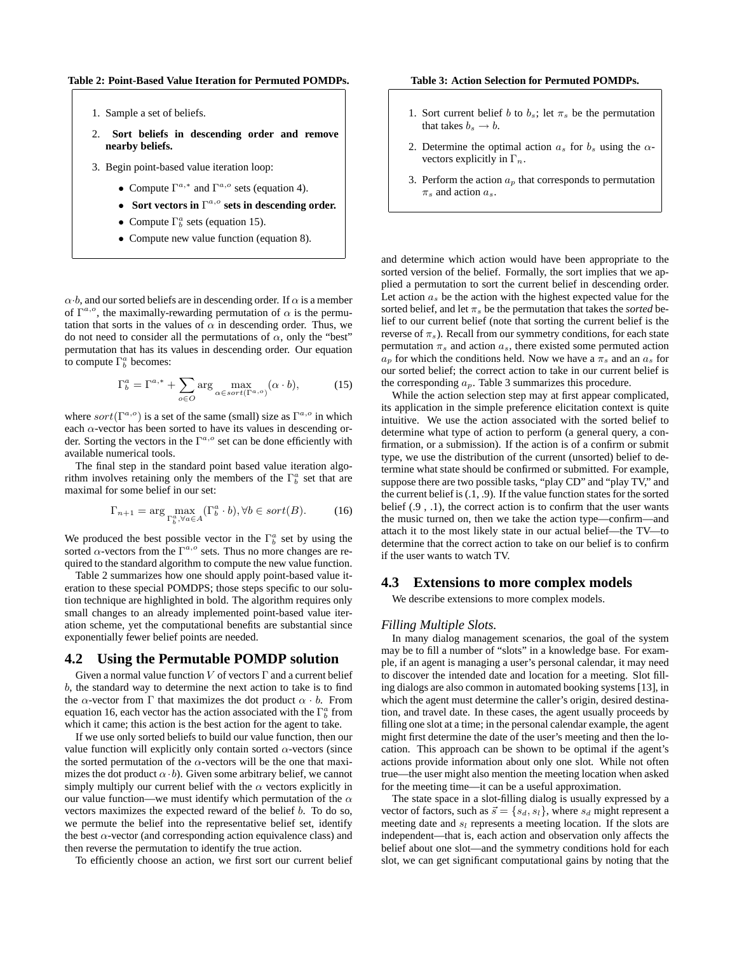**Table 2: Point-Based Value Iteration for Permuted POMDPs.**

- 1. Sample a set of beliefs.
- 2. **Sort beliefs in descending order and remove nearby beliefs.**
- 3. Begin point-based value iteration loop:
	- Compute  $\Gamma^{a,*}$  and  $\Gamma^{a,o}$  sets (equation 4).
	- Sort vectors in  $\Gamma^{a,o}$  sets in descending order.
	- Compute  $\Gamma_b^a$  sets (equation 15).
	- Compute new value function (equation 8).

 $\alpha \cdot b$ , and our sorted beliefs are in descending order. If  $\alpha$  is a member of  $\Gamma^{a,o}$ , the maximally-rewarding permutation of  $\alpha$  is the permutation that sorts in the values of  $\alpha$  in descending order. Thus, we do not need to consider all the permutations of  $\alpha$ , only the "best" permutation that has its values in descending order. Our equation to compute  $\Gamma_b^a$  becomes:

$$
\Gamma_b^a = \Gamma^{a,*} + \sum_{o \in O} \arg \max_{\alpha \in sort(\Gamma^{a,o})} (\alpha \cdot b), \tag{15}
$$

where  $sort(\Gamma^{a,o})$  is a set of the same (small) size as  $\Gamma^{a,o}$  in which each  $\alpha$ -vector has been sorted to have its values in descending order. Sorting the vectors in the  $\Gamma^{a,o}$  set can be done efficiently with available numerical tools.

The final step in the standard point based value iteration algorithm involves retaining only the members of the  $\Gamma_b^a$  set that are maximal for some belief in our set:

$$
\Gamma_{n+1} = \arg \max_{\Gamma_b^a, \forall a \in A} (\Gamma_b^a \cdot b), \forall b \in sort(B). \tag{16}
$$

We produced the best possible vector in the  $\Gamma_b^a$  set by using the sorted  $\alpha$ -vectors from the  $\Gamma^{a,o}$  sets. Thus no more changes are required to the standard algorithm to compute the new value function.

Table 2 summarizes how one should apply point-based value iteration to these special POMDPS; those steps specific to our solution technique are highlighted in bold. The algorithm requires only small changes to an already implemented point-based value iteration scheme, yet the computational benefits are substantial since exponentially fewer belief points are needed.

# **4.2 Using the Permutable POMDP solution**

Given a normal value function  $V$  of vectors  $\Gamma$  and a current belief b, the standard way to determine the next action to take is to find the  $\alpha$ -vector from  $\Gamma$  that maximizes the dot product  $\alpha \cdot b$ . From equation 16, each vector has the action associated with the  $\Gamma_b^a$  from which it came; this action is the best action for the agent to take.

If we use only sorted beliefs to build our value function, then our value function will explicitly only contain sorted  $\alpha$ -vectors (since the sorted permutation of the  $\alpha$ -vectors will be the one that maximizes the dot product  $\alpha \cdot b$ ). Given some arbitrary belief, we cannot simply multiply our current belief with the  $\alpha$  vectors explicitly in our value function—we must identify which permutation of the  $\alpha$ vectors maximizes the expected reward of the belief b. To do so, we permute the belief into the representative belief set, identify the best  $\alpha$ -vector (and corresponding action equivalence class) and then reverse the permutation to identify the true action.

To efficiently choose an action, we first sort our current belief

**Table 3: Action Selection for Permuted POMDPs.**

- 1. Sort current belief b to  $b_s$ ; let  $\pi_s$  be the permutation that takes  $b_s \rightarrow b$ .
- 2. Determine the optimal action  $a_s$  for  $b_s$  using the  $\alpha$ vectors explicitly in  $\Gamma_n$ .
- 3. Perform the action  $a_p$  that corresponds to permutation  $\pi_s$  and action  $a_s$ .

and determine which action would have been appropriate to the sorted version of the belief. Formally, the sort implies that we applied a permutation to sort the current belief in descending order. Let action  $a_s$  be the action with the highest expected value for the sorted belief, and let  $\pi_s$  be the permutation that takes the *sorted* belief to our current belief (note that sorting the current belief is the reverse of  $\pi_s$ ). Recall from our symmetry conditions, for each state permutation  $\pi_s$  and action  $a_s$ , there existed some permuted action  $a_p$  for which the conditions held. Now we have a  $\pi_s$  and an  $a_s$  for our sorted belief; the correct action to take in our current belief is the corresponding  $a_p$ . Table 3 summarizes this procedure.

While the action selection step may at first appear complicated, its application in the simple preference elicitation context is quite intuitive. We use the action associated with the sorted belief to determine what type of action to perform (a general query, a confirmation, or a submission). If the action is of a confirm or submit type, we use the distribution of the current (unsorted) belief to determine what state should be confirmed or submitted. For example, suppose there are two possible tasks, "play CD" and "play TV," and the current belief is (.1, .9). If the value function states for the sorted belief (.9 , .1), the correct action is to confirm that the user wants the music turned on, then we take the action type—confirm—and attach it to the most likely state in our actual belief—the TV—to determine that the correct action to take on our belief is to confirm if the user wants to watch TV.

# **4.3 Extensions to more complex models**

We describe extensions to more complex models.

#### *Filling Multiple Slots.*

In many dialog management scenarios, the goal of the system may be to fill a number of "slots" in a knowledge base. For example, if an agent is managing a user's personal calendar, it may need to discover the intended date and location for a meeting. Slot filling dialogs are also common in automated booking systems [13], in which the agent must determine the caller's origin, desired destination, and travel date. In these cases, the agent usually proceeds by filling one slot at a time; in the personal calendar example, the agent might first determine the date of the user's meeting and then the location. This approach can be shown to be optimal if the agent's actions provide information about only one slot. While not often true—the user might also mention the meeting location when asked for the meeting time—it can be a useful approximation.

The state space in a slot-filling dialog is usually expressed by a vector of factors, such as  $\vec{s} = \{s_d, s_l\}$ , where  $s_d$  might represent a meeting date and  $s_l$  represents a meeting location. If the slots are independent—that is, each action and observation only affects the belief about one slot—and the symmetry conditions hold for each slot, we can get significant computational gains by noting that the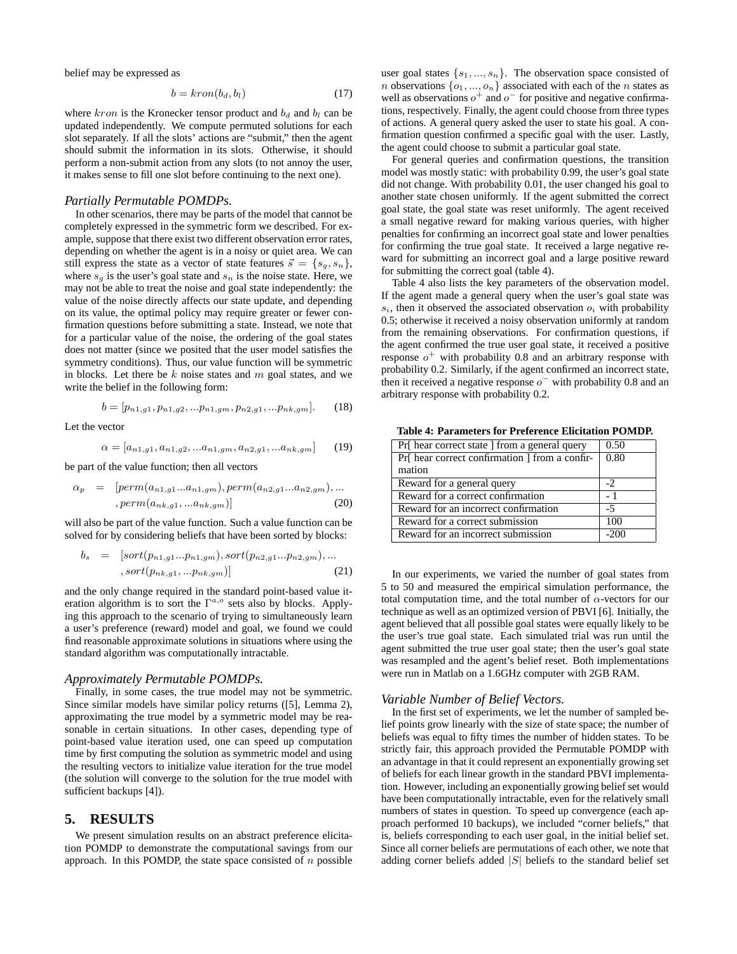belief may be expressed as

$$
b = kron(b_d, b_l) \tag{17}
$$

where  $kron$  is the Kronecker tensor product and  $b_d$  and  $b_l$  can be updated independently. We compute permuted solutions for each slot separately. If all the slots' actions are "submit," then the agent should submit the information in its slots. Otherwise, it should perform a non-submit action from any slots (to not annoy the user, it makes sense to fill one slot before continuing to the next one).

#### *Partially Permutable POMDPs.*

In other scenarios, there may be parts of the model that cannot be completely expressed in the symmetric form we described. For example, suppose that there exist two different observation error rates, depending on whether the agent is in a noisy or quiet area. We can still express the state as a vector of state features  $\vec{s} = \{s_g, s_n\},\$ where  $s_q$  is the user's goal state and  $s_n$  is the noise state. Here, we may not be able to treat the noise and goal state independently: the value of the noise directly affects our state update, and depending on its value, the optimal policy may require greater or fewer confirmation questions before submitting a state. Instead, we note that for a particular value of the noise, the ordering of the goal states does not matter (since we posited that the user model satisfies the symmetry conditions). Thus, our value function will be symmetric in blocks. Let there be  $k$  noise states and  $m$  goal states, and we write the belief in the following form:

$$
b = [p_{n1,g1}, p_{n1,g2}, \ldots, p_{n1,gm}, p_{n2,g1}, \ldots, p_{nk,gm}].
$$
 (18)

Let the vector

$$
\alpha = [a_{n1,g1}, a_{n1,g2},...a_{n1,gm}, a_{n2,g1},...a_{nk,gm}] \qquad (19)
$$

be part of the value function; then all vectors

$$
\alpha_p = [perm(a_{n1,g1}...a_{n1,gm}), perm(a_{n2,g1}...a_{n2,gm}), ... , perm(a_{nk,g1},...a_{nk,gm})]
$$
 (20)

will also be part of the value function. Such a value function can be solved for by considering beliefs that have been sorted by blocks:

$$
b_s = [sort(p_{n1,g1}...p_{n1,gm}), sort(p_{n2,g1}...p_{n2,gm}), ... , sort(p_{nk,g1},...p_{nk,gm})]
$$
(21)

and the only change required in the standard point-based value iteration algorithm is to sort the  $\Gamma^{a,o}$  sets also by blocks. Applying this approach to the scenario of trying to simultaneously learn a user's preference (reward) model and goal, we found we could find reasonable approximate solutions in situations where using the standard algorithm was computationally intractable.

#### *Approximately Permutable POMDPs.*

Finally, in some cases, the true model may not be symmetric. Since similar models have similar policy returns ([5], Lemma 2), approximating the true model by a symmetric model may be reasonable in certain situations. In other cases, depending type of point-based value iteration used, one can speed up computation time by first computing the solution as symmetric model and using the resulting vectors to initialize value iteration for the true model (the solution will converge to the solution for the true model with sufficient backups [4]).

## **5. RESULTS**

We present simulation results on an abstract preference elicitation POMDP to demonstrate the computational savings from our approach. In this POMDP, the state space consisted of  $n$  possible user goal states  $\{s_1, ..., s_n\}$ . The observation space consisted of *n* observations  $\{o_1, ..., o_n\}$  associated with each of the *n* states as well as observations  $o^+$  and  $o^-$  for positive and negative confirmations, respectively. Finally, the agent could choose from three types of actions. A general query asked the user to state his goal. A confirmation question confirmed a specific goal with the user. Lastly, the agent could choose to submit a particular goal state.

For general queries and confirmation questions, the transition model was mostly static: with probability 0.99, the user's goal state did not change. With probability 0.01, the user changed his goal to another state chosen uniformly. If the agent submitted the correct goal state, the goal state was reset uniformly. The agent received a small negative reward for making various queries, with higher penalties for confirming an incorrect goal state and lower penalties for confirming the true goal state. It received a large negative reward for submitting an incorrect goal and a large positive reward for submitting the correct goal (table 4).

Table 4 also lists the key parameters of the observation model. If the agent made a general query when the user's goal state was  $s_i$ , then it observed the associated observation  $o_i$  with probability 0.5; otherwise it received a noisy observation uniformly at random from the remaining observations. For confirmation questions, if the agent confirmed the true user goal state, it received a positive response  $o^+$  with probability 0.8 and an arbitrary response with probability 0.2. Similarly, if the agent confirmed an incorrect state, then it received a negative response  $o^-$  with probability 0.8 and an arbitrary response with probability 0.2.

**Table 4: Parameters for Preference Elicitation POMDP.**

| Pr[ hear correct state ] from a general query | 0.50   |
|-----------------------------------------------|--------|
| Pr hear correct confirmation I from a confir- | 0.80   |
| mation                                        |        |
| Reward for a general query                    | $-2$   |
| Reward for a correct confirmation             | - 1    |
| Reward for an incorrect confirmation          | $-5$   |
| Reward for a correct submission               | 100    |
| Reward for an incorrect submission            | $-200$ |

In our experiments, we varied the number of goal states from 5 to 50 and measured the empirical simulation performance, the total computation time, and the total number of  $\alpha$ -vectors for our technique as well as an optimized version of PBVI [6]. Initially, the agent believed that all possible goal states were equally likely to be the user's true goal state. Each simulated trial was run until the agent submitted the true user goal state; then the user's goal state was resampled and the agent's belief reset. Both implementations were run in Matlab on a 1.6GHz computer with 2GB RAM.

#### *Variable Number of Belief Vectors.*

In the first set of experiments, we let the number of sampled belief points grow linearly with the size of state space; the number of beliefs was equal to fifty times the number of hidden states. To be strictly fair, this approach provided the Permutable POMDP with an advantage in that it could represent an exponentially growing set of beliefs for each linear growth in the standard PBVI implementation. However, including an exponentially growing belief set would have been computationally intractable, even for the relatively small numbers of states in question. To speed up convergence (each approach performed 10 backups), we included "corner beliefs," that is, beliefs corresponding to each user goal, in the initial belief set. Since all corner beliefs are permutations of each other, we note that adding corner beliefs added  $|S|$  beliefs to the standard belief set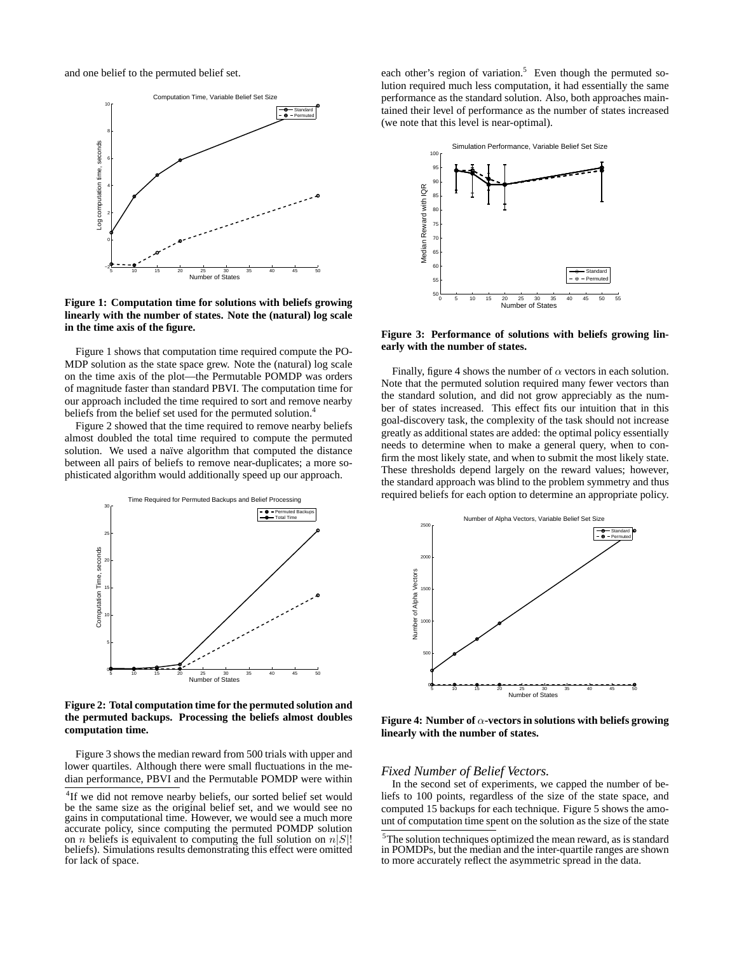and one belief to the permuted belief set.



**Figure 1: Computation time for solutions with beliefs growing linearly with the number of states. Note the (natural) log scale in the time axis of the figure.**

Figure 1 shows that computation time required compute the PO-MDP solution as the state space grew. Note the (natural) log scale on the time axis of the plot—the Permutable POMDP was orders of magnitude faster than standard PBVI. The computation time for our approach included the time required to sort and remove nearby beliefs from the belief set used for the permuted solution.<sup>4</sup>

Figure 2 showed that the time required to remove nearby beliefs almost doubled the total time required to compute the permuted solution. We used a naïve algorithm that computed the distance between all pairs of beliefs to remove near-duplicates; a more sophisticated algorithm would additionally speed up our approach.



**Figure 2: Total computation time for the permuted solution and the permuted backups. Processing the beliefs almost doubles computation time.**

Figure 3 shows the median reward from 500 trials with upper and lower quartiles. Although there were small fluctuations in the median performance, PBVI and the Permutable POMDP were within

each other's region of variation.<sup>5</sup> Even though the permuted solution required much less computation, it had essentially the same performance as the standard solution. Also, both approaches maintained their level of performance as the number of states increased (we note that this level is near-optimal).



**Figure 3: Performance of solutions with beliefs growing linearly with the number of states.**

Finally, figure 4 shows the number of  $\alpha$  vectors in each solution. Note that the permuted solution required many fewer vectors than the standard solution, and did not grow appreciably as the number of states increased. This effect fits our intuition that in this goal-discovery task, the complexity of the task should not increase greatly as additional states are added: the optimal policy essentially needs to determine when to make a general query, when to confirm the most likely state, and when to submit the most likely state. These thresholds depend largely on the reward values; however, the standard approach was blind to the problem symmetry and thus required beliefs for each option to determine an appropriate policy.



**Figure 4: Number of** α**-vectors in solutions with beliefs growing linearly with the number of states.**

## *Fixed Number of Belief Vectors.*

In the second set of experiments, we capped the number of beliefs to 100 points, regardless of the size of the state space, and computed 15 backups for each technique. Figure 5 shows the amount of computation time spent on the solution as the size of the state

<sup>&</sup>lt;sup>4</sup>If we did not remove nearby beliefs, our sorted belief set would be the same size as the original belief set, and we would see no gains in computational time. However, we would see a much more accurate policy, since computing the permuted POMDP solution on *n* beliefs is equivalent to computing the full solution on  $n|S|$ ! beliefs). Simulations results demonstrating this effect were omitted for lack of space.

<sup>5</sup>The solution techniques optimized the mean reward, as is standard in POMDPs, but the median and the inter-quartile ranges are shown to more accurately reflect the asymmetric spread in the data.